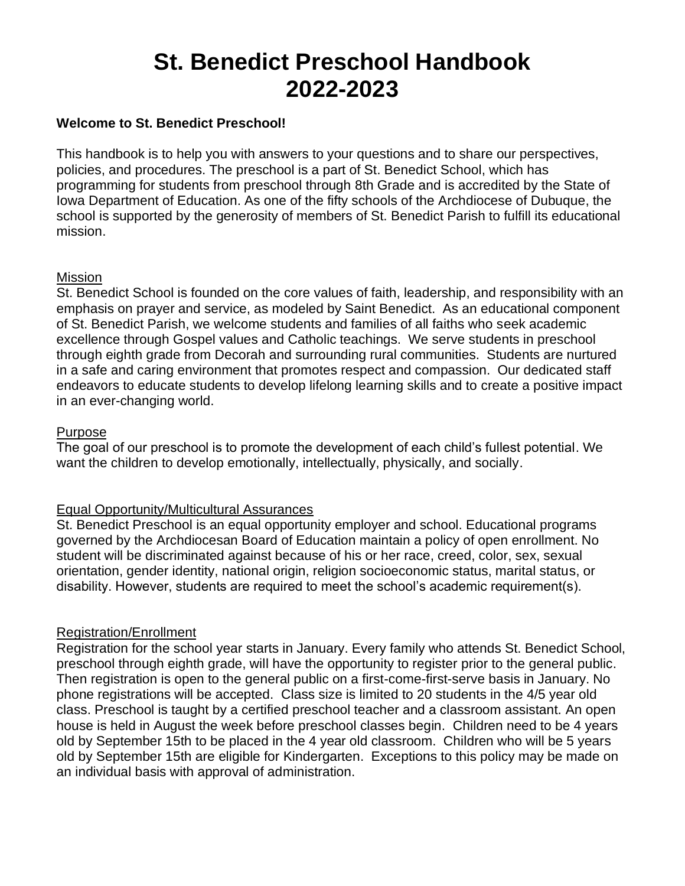# **St. Benedict Preschool Handbook 2022-2023**

## **Welcome to St. Benedict Preschool!**

This handbook is to help you with answers to your questions and to share our perspectives, policies, and procedures. The preschool is a part of St. Benedict School, which has programming for students from preschool through 8th Grade and is accredited by the State of Iowa Department of Education. As one of the fifty schools of the Archdiocese of Dubuque, the school is supported by the generosity of members of St. Benedict Parish to fulfill its educational mission.

## Mission

St. Benedict School is founded on the core values of faith, leadership, and responsibility with an emphasis on prayer and service, as modeled by Saint Benedict. As an educational component of St. Benedict Parish, we welcome students and families of all faiths who seek academic excellence through Gospel values and Catholic teachings. We serve students in preschool through eighth grade from Decorah and surrounding rural communities. Students are nurtured in a safe and caring environment that promotes respect and compassion. Our dedicated staff endeavors to educate students to develop lifelong learning skills and to create a positive impact in an ever-changing world.

#### Purpose

The goal of our preschool is to promote the development of each child's fullest potential. We want the children to develop emotionally, intellectually, physically, and socially.

## Equal Opportunity/Multicultural Assurances

St. Benedict Preschool is an equal opportunity employer and school. Educational programs governed by the Archdiocesan Board of Education maintain a policy of open enrollment. No student will be discriminated against because of his or her race, creed, color, sex, sexual orientation, gender identity, national origin, religion socioeconomic status, marital status, or disability. However, students are required to meet the school's academic requirement(s).

## Registration/Enrollment

Registration for the school year starts in January. Every family who attends St. Benedict School, preschool through eighth grade, will have the opportunity to register prior to the general public. Then registration is open to the general public on a first-come-first-serve basis in January. No phone registrations will be accepted. Class size is limited to 20 students in the 4/5 year old class. Preschool is taught by a certified preschool teacher and a classroom assistant. An open house is held in August the week before preschool classes begin. Children need to be 4 years old by September 15th to be placed in the 4 year old classroom. Children who will be 5 years old by September 15th are eligible for Kindergarten. Exceptions to this policy may be made on an individual basis with approval of administration.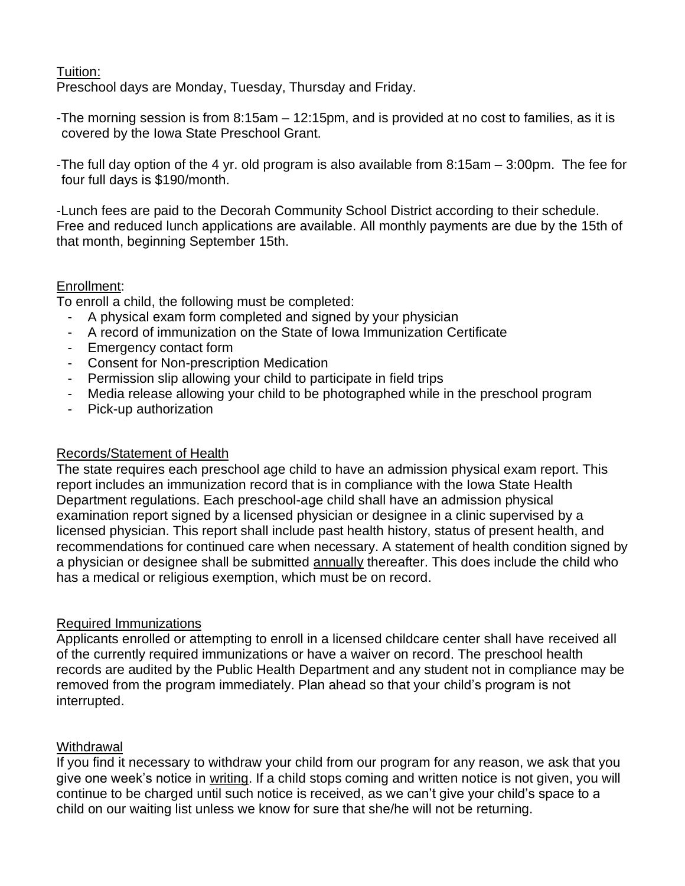# Tuition:

Preschool days are Monday, Tuesday, Thursday and Friday.

-The morning session is from 8:15am – 12:15pm, and is provided at no cost to families, as it is covered by the Iowa State Preschool Grant.

-The full day option of the 4 yr. old program is also available from 8:15am – 3:00pm. The fee for four full days is \$190/month.

-Lunch fees are paid to the Decorah Community School District according to their schedule. Free and reduced lunch applications are available. All monthly payments are due by the 15th of that month, beginning September 15th.

# Enrollment:

To enroll a child, the following must be completed:

- A physical exam form completed and signed by your physician
- A record of immunization on the State of Iowa Immunization Certificate
- Emergency contact form
- Consent for Non-prescription Medication
- Permission slip allowing your child to participate in field trips
- Media release allowing your child to be photographed while in the preschool program
- Pick-up authorization

## Records/Statement of Health

The state requires each preschool age child to have an admission physical exam report. This report includes an immunization record that is in compliance with the Iowa State Health Department regulations. Each preschool-age child shall have an admission physical examination report signed by a licensed physician or designee in a clinic supervised by a licensed physician. This report shall include past health history, status of present health, and recommendations for continued care when necessary. A statement of health condition signed by a physician or designee shall be submitted annually thereafter. This does include the child who has a medical or religious exemption, which must be on record.

# Required Immunizations

Applicants enrolled or attempting to enroll in a licensed childcare center shall have received all of the currently required immunizations or have a waiver on record. The preschool health records are audited by the Public Health Department and any student not in compliance may be removed from the program immediately. Plan ahead so that your child's program is not interrupted.

# **Withdrawal**

If you find it necessary to withdraw your child from our program for any reason, we ask that you give one week's notice in writing. If a child stops coming and written notice is not given, you will continue to be charged until such notice is received, as we can't give your child's space to a child on our waiting list unless we know for sure that she/he will not be returning.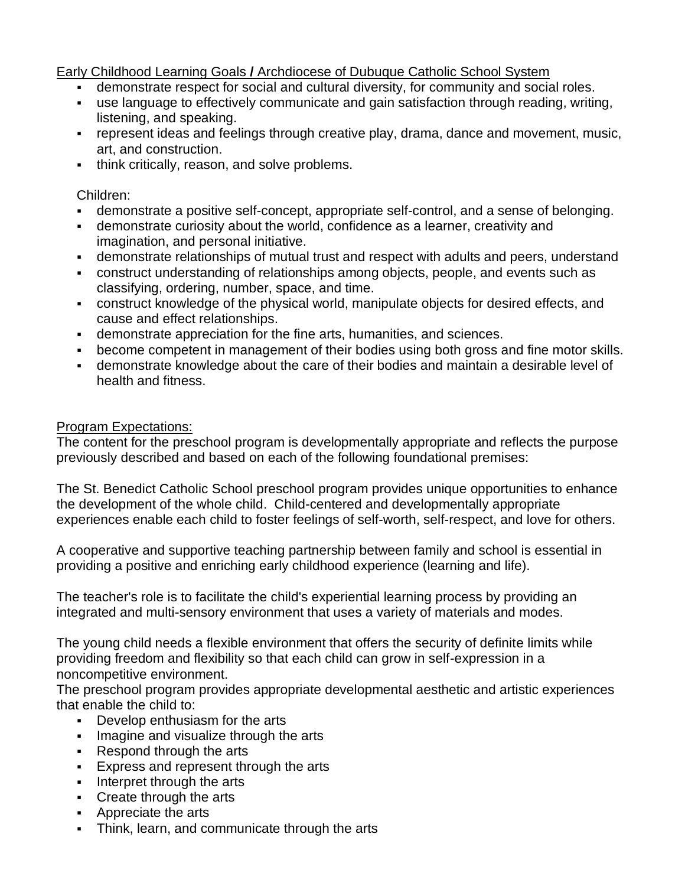Early Childhood Learning Goals **/** Archdiocese of Dubuque Catholic School System

- **EXEDENT** demonstrate respect for social and cultural diversity, for community and social roles.
- use language to effectively communicate and gain satisfaction through reading, writing, listening, and speaking.
- **represent ideas and feelings through creative play, drama, dance and movement, music,** art, and construction.
- **•** think critically, reason, and solve problems.

# Children:

- demonstrate a positive self-concept, appropriate self-control, and a sense of belonging.
- demonstrate curiosity about the world, confidence as a learner, creativity and imagination, and personal initiative.
- demonstrate relationships of mutual trust and respect with adults and peers, understand
- construct understanding of relationships among objects, people, and events such as classifying, ordering, number, space, and time.
- construct knowledge of the physical world, manipulate objects for desired effects, and cause and effect relationships.
- demonstrate appreciation for the fine arts, humanities, and sciences.
- become competent in management of their bodies using both gross and fine motor skills.
- demonstrate knowledge about the care of their bodies and maintain a desirable level of health and fitness.

# Program Expectations:

The content for the preschool program is developmentally appropriate and reflects the purpose previously described and based on each of the following foundational premises:

The St. Benedict Catholic School preschool program provides unique opportunities to enhance the development of the whole child. Child-centered and developmentally appropriate experiences enable each child to foster feelings of self-worth, self-respect, and love for others.

A cooperative and supportive teaching partnership between family and school is essential in providing a positive and enriching early childhood experience (learning and life).

The teacher's role is to facilitate the child's experiential learning process by providing an integrated and multi-sensory environment that uses a variety of materials and modes.

The young child needs a flexible environment that offers the security of definite limits while providing freedom and flexibility so that each child can grow in self-expression in a noncompetitive environment.

The preschool program provides appropriate developmental aesthetic and artistic experiences that enable the child to:

- Develop enthusiasm for the arts
- **Imagine and visualize through the arts**
- Respond through the arts
- **Express and represent through the arts**
- Interpret through the arts
- Create through the arts
- Appreciate the arts
- **•** Think, learn, and communicate through the arts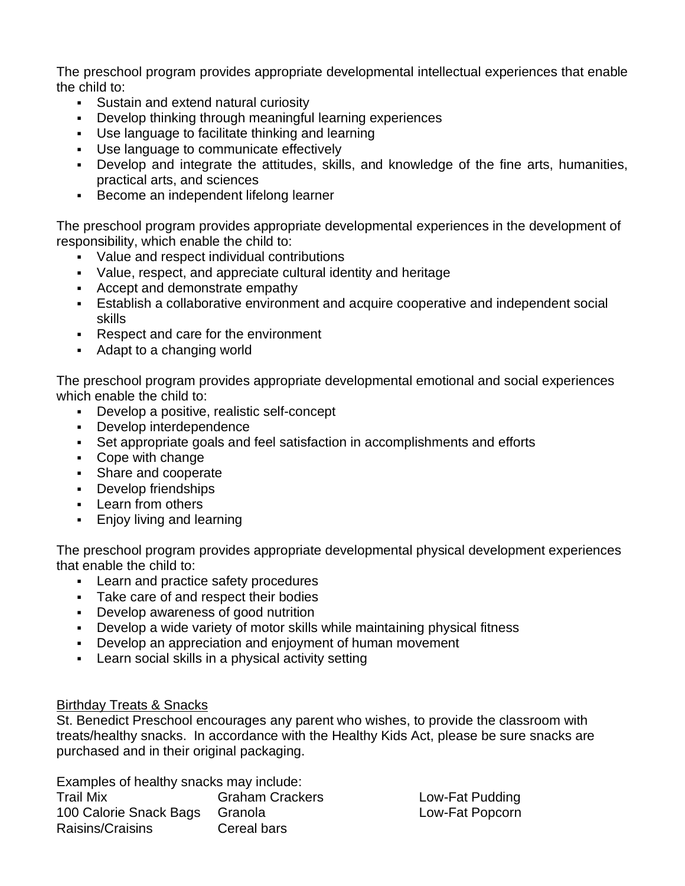The preschool program provides appropriate developmental intellectual experiences that enable the child to:

- Sustain and extend natural curiosity
- Develop thinking through meaningful learning experiences
- Use language to facilitate thinking and learning
- Use language to communicate effectively
- **•** Develop and integrate the attitudes, skills, and knowledge of the fine arts, humanities, practical arts, and sciences
- Become an independent lifelong learner

The preschool program provides appropriate developmental experiences in the development of responsibility, which enable the child to:

- Value and respect individual contributions
- Value, respect, and appreciate cultural identity and heritage
- Accept and demonstrate empathy
- **Establish a collaborative environment and acquire cooperative and independent social** skills
- Respect and care for the environment
- Adapt to a changing world

The preschool program provides appropriate developmental emotional and social experiences which enable the child to:

- Develop a positive, realistic self-concept
- Develop interdependence
- Set appropriate goals and feel satisfaction in accomplishments and efforts
- Cope with change
- Share and cooperate
- Develop friendships
- Learn from others
- **Enjoy living and learning**

The preschool program provides appropriate developmental physical development experiences that enable the child to:

- Learn and practice safety procedures
- Take care of and respect their bodies
- Develop awareness of good nutrition
- Develop a wide variety of motor skills while maintaining physical fitness
- **Develop an appreciation and enjoyment of human movement**
- **EXECT:** Learn social skills in a physical activity setting

## Birthday Treats & Snacks

St. Benedict Preschool encourages any parent who wishes, to provide the classroom with treats/healthy snacks. In accordance with the Healthy Kids Act, please be sure snacks are purchased and in their original packaging.

Examples of healthy snacks may include: Trail Mix Graham Crackers Low-Fat Pudding 100 Calorie Snack Bags Granola **Low-Fat Popcorn** Raisins/Craisins Cereal bars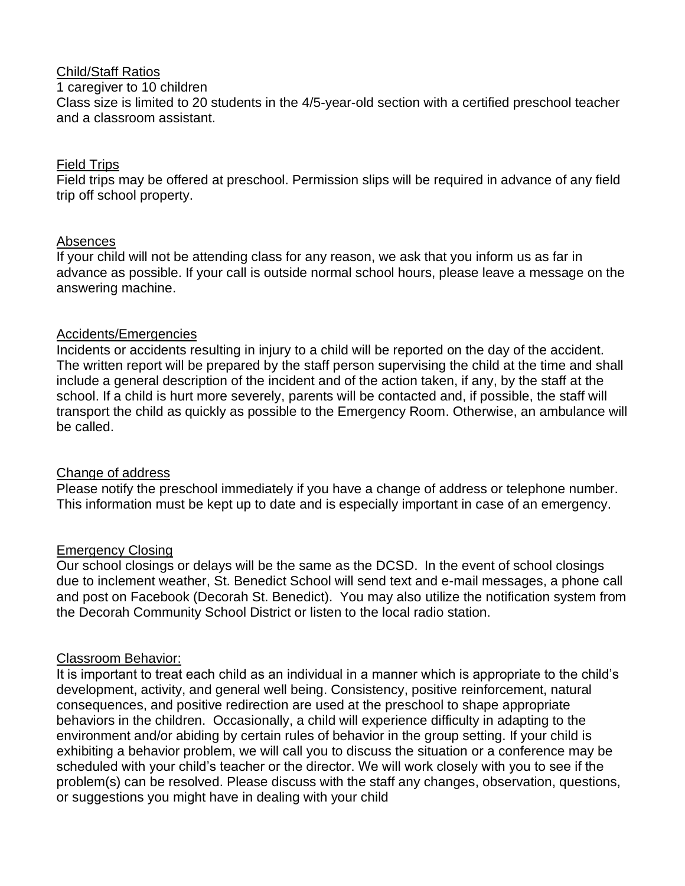## Child/Staff Ratios

#### 1 caregiver to 10 children

Class size is limited to 20 students in the 4/5-year-old section with a certified preschool teacher and a classroom assistant.

# Field Trips

Field trips may be offered at preschool. Permission slips will be required in advance of any field trip off school property.

# Absences

If your child will not be attending class for any reason, we ask that you inform us as far in advance as possible. If your call is outside normal school hours, please leave a message on the answering machine.

# Accidents/Emergencies

Incidents or accidents resulting in injury to a child will be reported on the day of the accident. The written report will be prepared by the staff person supervising the child at the time and shall include a general description of the incident and of the action taken, if any, by the staff at the school. If a child is hurt more severely, parents will be contacted and, if possible, the staff will transport the child as quickly as possible to the Emergency Room. Otherwise, an ambulance will be called.

# Change of address

Please notify the preschool immediately if you have a change of address or telephone number. This information must be kept up to date and is especially important in case of an emergency.

# Emergency Closing

Our school closings or delays will be the same as the DCSD. In the event of school closings due to inclement weather, St. Benedict School will send text and e-mail messages, a phone call and post on Facebook (Decorah St. Benedict). You may also utilize the notification system from the Decorah Community School District or listen to the local radio station.

# Classroom Behavior:

It is important to treat each child as an individual in a manner which is appropriate to the child's development, activity, and general well being. Consistency, positive reinforcement, natural consequences, and positive redirection are used at the preschool to shape appropriate behaviors in the children. Occasionally, a child will experience difficulty in adapting to the environment and/or abiding by certain rules of behavior in the group setting. If your child is exhibiting a behavior problem, we will call you to discuss the situation or a conference may be scheduled with your child's teacher or the director. We will work closely with you to see if the problem(s) can be resolved. Please discuss with the staff any changes, observation, questions, or suggestions you might have in dealing with your child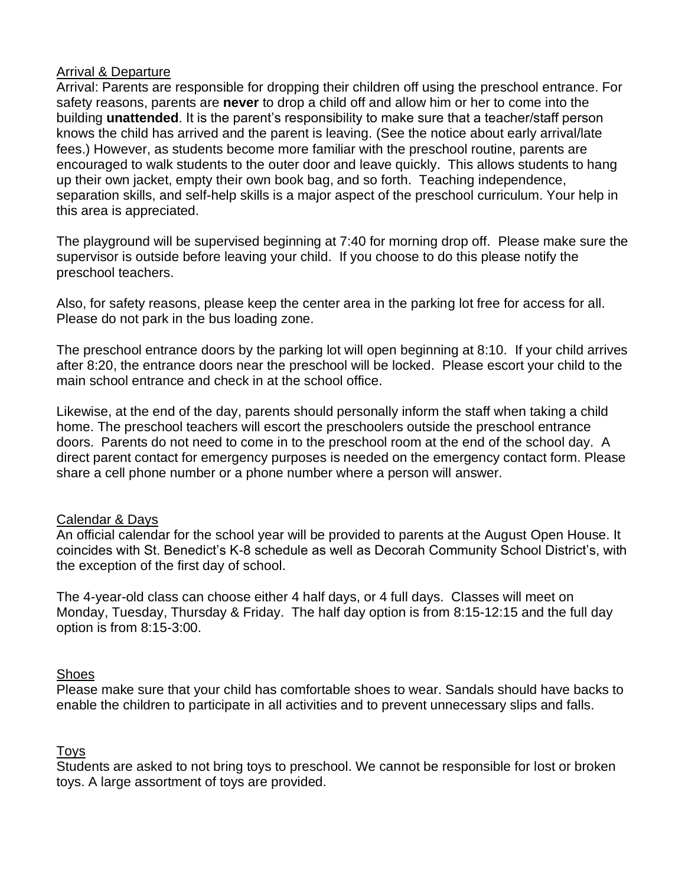#### Arrival & Departure

Arrival: Parents are responsible for dropping their children off using the preschool entrance. For safety reasons, parents are **never** to drop a child off and allow him or her to come into the building **unattended**. It is the parent's responsibility to make sure that a teacher/staff person knows the child has arrived and the parent is leaving. (See the notice about early arrival/late fees.) However, as students become more familiar with the preschool routine, parents are encouraged to walk students to the outer door and leave quickly. This allows students to hang up their own jacket, empty their own book bag, and so forth. Teaching independence, separation skills, and self-help skills is a major aspect of the preschool curriculum. Your help in this area is appreciated.

The playground will be supervised beginning at 7:40 for morning drop off. Please make sure the supervisor is outside before leaving your child. If you choose to do this please notify the preschool teachers.

Also, for safety reasons, please keep the center area in the parking lot free for access for all. Please do not park in the bus loading zone.

The preschool entrance doors by the parking lot will open beginning at 8:10. If your child arrives after 8:20, the entrance doors near the preschool will be locked. Please escort your child to the main school entrance and check in at the school office.

Likewise, at the end of the day, parents should personally inform the staff when taking a child home. The preschool teachers will escort the preschoolers outside the preschool entrance doors. Parents do not need to come in to the preschool room at the end of the school day. A direct parent contact for emergency purposes is needed on the emergency contact form. Please share a cell phone number or a phone number where a person will answer.

## Calendar & Days

An official calendar for the school year will be provided to parents at the August Open House. It coincides with St. Benedict's K-8 schedule as well as Decorah Community School District's, with the exception of the first day of school.

The 4-year-old class can choose either 4 half days, or 4 full days. Classes will meet on Monday, Tuesday, Thursday & Friday. The half day option is from 8:15-12:15 and the full day option is from 8:15-3:00.

## **Shoes**

Please make sure that your child has comfortable shoes to wear. Sandals should have backs to enable the children to participate in all activities and to prevent unnecessary slips and falls.

# Toys

Students are asked to not bring toys to preschool. We cannot be responsible for lost or broken toys. A large assortment of toys are provided.